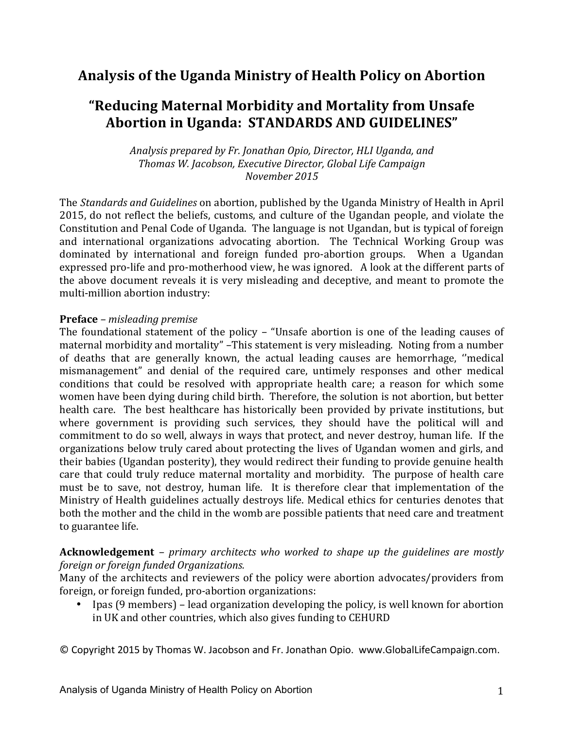# **Analysis of the Uganda Ministry of Health Policy on Abortion**

# **"Reducing Maternal Morbidity and Mortality from Unsafe** Abortion in Uganda: STANDARDS AND GUIDELINES"

Analysis prepared by Fr. Jonathan Opio, Director, HLI Uganda, and *Thomas W. Jacobson, Executive Director, Global Life Campaign November 2015*

The *Standards and Guidelines* on abortion, published by the Uganda Ministry of Health in April 2015, do not reflect the beliefs, customs, and culture of the Ugandan people, and violate the Constitution and Penal Code of Uganda. The language is not Ugandan, but is typical of foreign and international organizations advocating abortion. The Technical Working Group was dominated by international and foreign funded pro-abortion groups. When a Ugandan expressed pro-life and pro-motherhood view, he was ignored. A look at the different parts of the above document reveals it is very misleading and deceptive, and meant to promote the multi-million abortion industry:

#### **Preface** – *misleading* premise

The foundational statement of the policy – "Unsafe abortion is one of the leading causes of maternal morbidity and mortality" -This statement is very misleading. Noting from a number of deaths that are generally known, the actual leading causes are hemorrhage, "medical mismanagement" and denial of the required care, untimely responses and other medical conditions that could be resolved with appropriate health care; a reason for which some women have been dying during child birth. Therefore, the solution is not abortion, but better health care. The best healthcare has historically been provided by private institutions, but where government is providing such services, they should have the political will and commitment to do so well, always in ways that protect, and never destroy, human life. If the organizations below truly cared about protecting the lives of Ugandan women and girls, and their babies (Ugandan posterity), they would redirect their funding to provide genuine health care that could truly reduce maternal mortality and morbidity. The purpose of health care must be to save, not destroy, human life. It is therefore clear that implementation of the Ministry of Health guidelines actually destroys life. Medical ethics for centuries denotes that both the mother and the child in the womb are possible patients that need care and treatment to guarantee life. 

#### **Acknowledgement** – *primary* architects who worked to shape up the guidelines are mostly *foreign or foreign funded Organizations.*

Many of the architects and reviewers of the policy were abortion advocates/providers from foreign, or foreign funded, pro-abortion organizations:

• Ipas (9 members) – lead organization developing the policy, is well known for abortion in UK and other countries, which also gives funding to CEHURD

© Copyright 2015 by Thomas W. Jacobson and Fr. Jonathan Opio. www.GlobalLifeCampaign.com.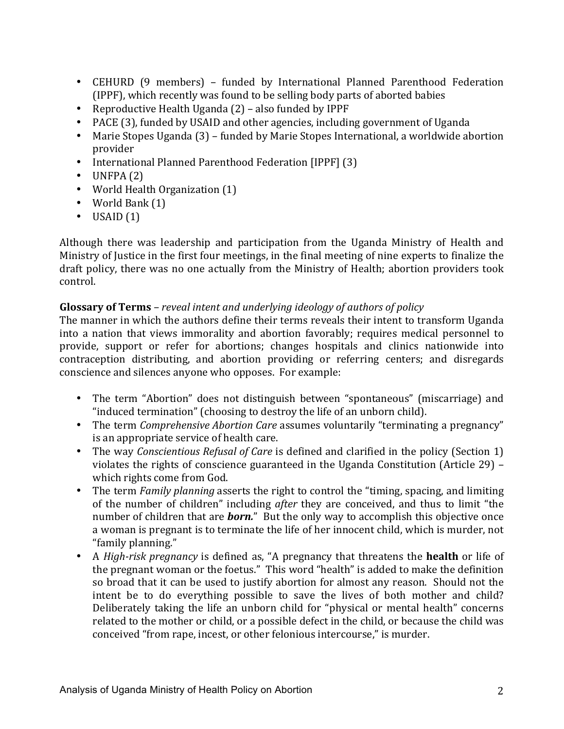- CEHURD (9 members) funded by International Planned Parenthood Federation (IPPF), which recently was found to be selling body parts of aborted babies
- Reproductive Health Uganda  $(2)$  also funded by IPPF
- PACE (3), funded by USAID and other agencies, including government of Uganda
- Marie Stopes Uganda (3) funded by Marie Stopes International, a worldwide abortion provider
- International Planned Parenthood Federation [IPPF] (3)
- $\bullet$  UNFPA $(2)$
- World Health Organization (1)
- World Bank  $(1)$
- $\bullet$  USAID  $(1)$

Although there was leadership and participation from the Uganda Ministry of Health and Ministry of Justice in the first four meetings, in the final meeting of nine experts to finalize the draft policy, there was no one actually from the Ministry of Health; abortion providers took control. 

## **Glossary of Terms** – *reveal intent and underlying ideology of authors of policy*

The manner in which the authors define their terms reveals their intent to transform Uganda into a nation that views immorality and abortion favorably; requires medical personnel to provide, support or refer for abortions; changes hospitals and clinics nationwide into contraception distributing, and abortion providing or referring centers; and disregards conscience and silences anyone who opposes. For example:

- The term "Abortion" does not distinguish between "spontaneous" (miscarriage) and "induced termination" (choosing to destroy the life of an unborn child).
- The term *Comprehensive Abortion Care* assumes voluntarily "terminating a pregnancy" is an appropriate service of health care.
- The way *Conscientious Refusal of Care* is defined and clarified in the policy (Section 1) violates the rights of conscience guaranteed in the Uganda Constitution (Article  $29$ ) – which rights come from God.
- The term *Family planning* asserts the right to control the "timing, spacing, and limiting of the number of children" including *after* they are conceived, and thus to limit "the number of children that are *born*." But the only way to accomplish this objective once a woman is pregnant is to terminate the life of her innocent child, which is murder, not "family planning."
- A *High-risk pregnancy* is defined as, "A pregnancy that threatens the **health** or life of the pregnant woman or the foetus." This word "health" is added to make the definition so broad that it can be used to justify abortion for almost any reason. Should not the intent be to do everything possible to save the lives of both mother and child? Deliberately taking the life an unborn child for "physical or mental health" concerns related to the mother or child, or a possible defect in the child, or because the child was conceived "from rape, incest, or other felonious intercourse," is murder.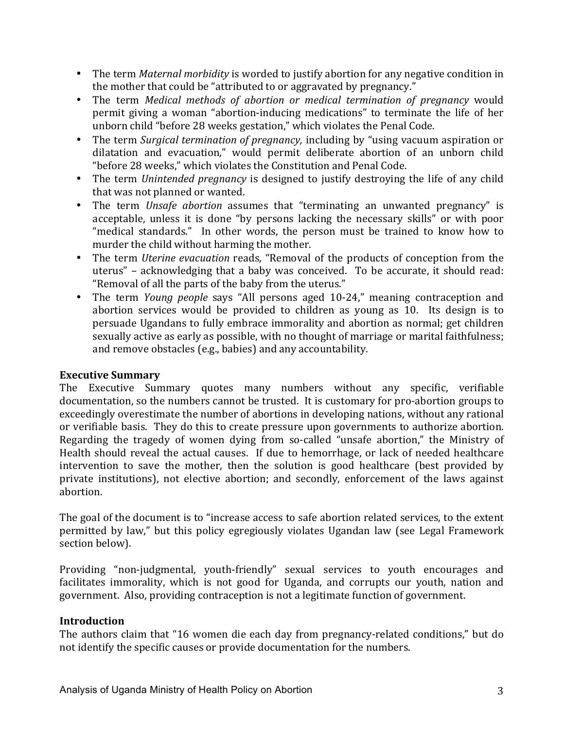- The term *Maternal morbidity* is worded to justify abortion for any negative condition in the mother that could be "attributed to or aggravated by pregnancy."
- The term *Medical methods of abortion or medical termination of pregnancy* would permit giving a woman "abortion-inducing medications" to terminate the life of her unborn child "before 28 weeks gestation," which violates the Penal Code.
- The term *Surgical termination of pregnancy*, including by "using vacuum aspiration or dilatation and evacuation," would permit deliberate abortion of an unborn child "before 28 weeks," which violates the Constitution and Penal Code.
- The term *Unintended pregnancy* is designed to justify destroying the life of any child that was not planned or wanted.
- The term *Unsafe abortion* assumes that "terminating an unwanted pregnancy" is acceptable, unless it is done "by persons lacking the necessary skills" or with poor "medical standards." In other words, the person must be trained to know how to murder the child without harming the mother.
- The term *Uterine evacuation* reads, "Removal of the products of conception from the uterus" – acknowledging that a baby was conceived. To be accurate, it should read: "Removal of all the parts of the baby from the uterus."
- The term *Young people* says "All persons aged 10-24," meaning contraception and abortion services would be provided to children as young as 10. Its design is to persuade Ugandans to fully embrace immorality and abortion as normal; get children sexually active as early as possible, with no thought of marriage or marital faithfulness; and remove obstacles (e.g., babies) and any accountability.

## **Executive Summary**

The Executive Summary quotes many numbers without any specific, verifiable documentation, so the numbers cannot be trusted. It is customary for pro-abortion groups to exceedingly overestimate the number of abortions in developing nations, without any rational or verifiable basis. They do this to create pressure upon governments to authorize abortion. Regarding the tragedy of women dying from so-called "unsafe abortion," the Ministry of Health should reveal the actual causes. If due to hemorrhage, or lack of needed healthcare intervention to save the mother, then the solution is good healthcare (best provided by private institutions), not elective abortion; and secondly, enforcement of the laws against abortion. 

The goal of the document is to "increase access to safe abortion related services, to the extent permitted by law," but this policy egregiously violates Ugandan law (see Legal Framework section below).

Providing "non-judgmental, youth-friendly" sexual services to youth encourages and facilitates immorality, which is not good for Uganda, and corrupts our youth, nation and government. Also, providing contraception is not a legitimate function of government.

#### **Introduction**

The authors claim that "16 women die each day from pregnancy-related conditions," but do not identify the specific causes or provide documentation for the numbers.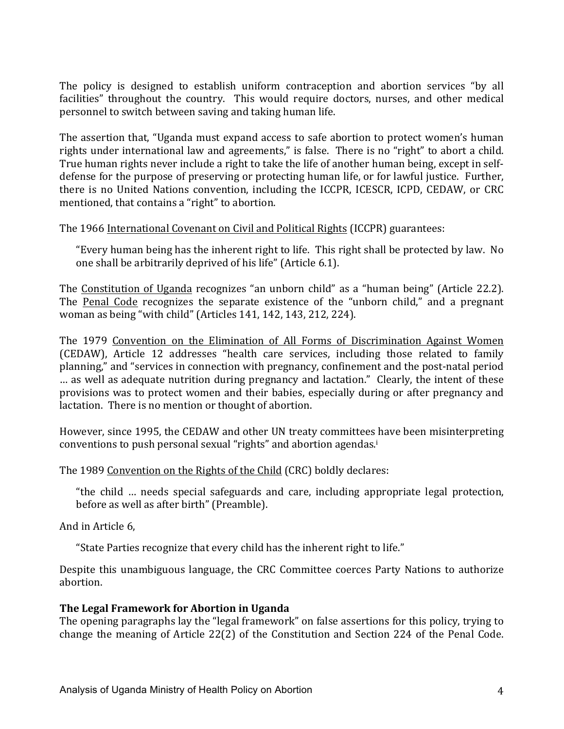The policy is designed to establish uniform contraception and abortion services "by all facilities" throughout the country. This would require doctors, nurses, and other medical personnel to switch between saving and taking human life.

The assertion that, "Uganda must expand access to safe abortion to protect women's human rights under international law and agreements," is false. There is no "right" to abort a child. True human rights never include a right to take the life of another human being, except in selfdefense for the purpose of preserving or protecting human life, or for lawful justice. Further, there is no United Nations convention, including the ICCPR, ICESCR, ICPD, CEDAW, or CRC mentioned, that contains a "right" to abortion.

The 1966 International Covenant on Civil and Political Rights (ICCPR) guarantees:

"Every human being has the inherent right to life. This right shall be protected by law. No one shall be arbitrarily deprived of his life" (Article 6.1).

The Constitution of Uganda recognizes "an unborn child" as a "human being" (Article 22.2). The Penal Code recognizes the separate existence of the "unborn child," and a pregnant woman as being "with child" (Articles 141, 142, 143, 212, 224).

The 1979 Convention on the Elimination of All Forms of Discrimination Against Women (CEDAW), Article 12 addresses "health care services, including those related to family planning," and "services in connection with pregnancy, confinement and the post-natal period ... as well as adequate nutrition during pregnancy and lactation." Clearly, the intent of these provisions was to protect women and their babies, especially during or after pregnancy and lactation. There is no mention or thought of abortion.

However, since 1995, the CEDAW and other UN treaty committees have been misinterpreting conventions to push personal sexual "rights" and abortion agendas.<sup>i</sup>

#### The 1989 Convention on the Rights of the Child (CRC) boldly declares:

"the child ... needs special safeguards and care, including appropriate legal protection, before as well as after birth" (Preamble).

And in Article 6,

"State Parties recognize that every child has the inherent right to life."

Despite this unambiguous language, the CRC Committee coerces Party Nations to authorize abortion. 

#### **The Legal Framework for Abortion in Uganda**

The opening paragraphs lay the "legal framework" on false assertions for this policy, trying to change the meaning of Article  $22(2)$  of the Constitution and Section 224 of the Penal Code.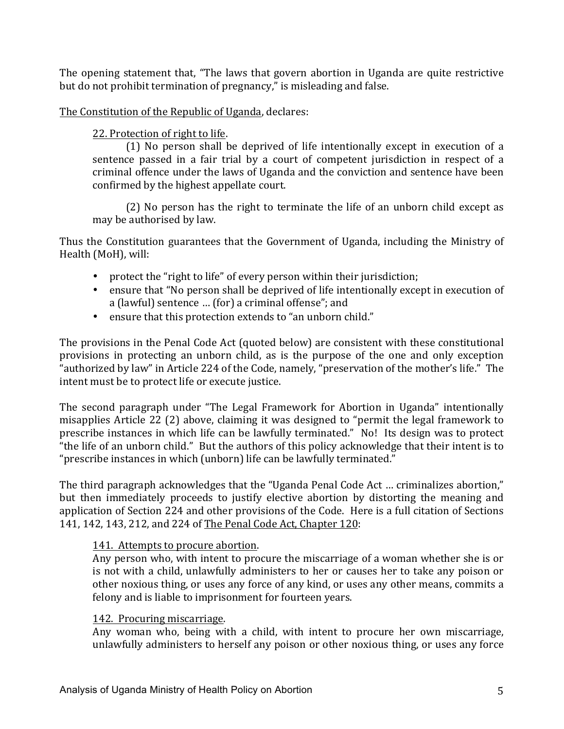The opening statement that, "The laws that govern abortion in Uganda are quite restrictive but do not prohibit termination of pregnancy," is misleading and false.

## The Constitution of the Republic of Uganda, declares:

## 22. Protection of right to life.

 $(1)$  No person shall be deprived of life intentionally except in execution of a sentence passed in a fair trial by a court of competent jurisdiction in respect of a criminal offence under the laws of Uganda and the conviction and sentence have been confirmed by the highest appellate court.

 $(2)$  No person has the right to terminate the life of an unborn child except as may be authorised by law.

Thus the Constitution guarantees that the Government of Uganda, including the Ministry of Health (MoH), will:

- protect the "right to life" of every person within their jurisdiction;
- ensure that "No person shall be deprived of life intentionally except in execution of a (lawful) sentence ... (for) a criminal offense"; and
- ensure that this protection extends to "an unborn child."

The provisions in the Penal Code Act (quoted below) are consistent with these constitutional provisions in protecting an unborn child, as is the purpose of the one and only exception "authorized by law" in Article 224 of the Code, namely, "preservation of the mother's life." The intent must be to protect life or execute justice.

The second paragraph under "The Legal Framework for Abortion in Uganda" intentionally misapplies Article 22 (2) above, claiming it was designed to "permit the legal framework to prescribe instances in which life can be lawfully terminated." No! Its design was to protect "the life of an unborn child." But the authors of this policy acknowledge that their intent is to "prescribe instances in which (unborn) life can be lawfully terminated."

The third paragraph acknowledges that the "Uganda Penal Code Act ... criminalizes abortion," but then immediately proceeds to justify elective abortion by distorting the meaning and application of Section 224 and other provisions of the Code. Here is a full citation of Sections 141, 142, 143, 212, and 224 of The Penal Code Act, Chapter 120:

#### 141. Attempts to procure abortion.

Any person who, with intent to procure the miscarriage of a woman whether she is or is not with a child, unlawfully administers to her or causes her to take any poison or other noxious thing, or uses any force of any kind, or uses any other means, commits a felony and is liable to imprisonment for fourteen years.

#### 142. Procuring miscarriage.

Any woman who, being with a child, with intent to procure her own miscarriage, unlawfully administers to herself any poison or other noxious thing, or uses any force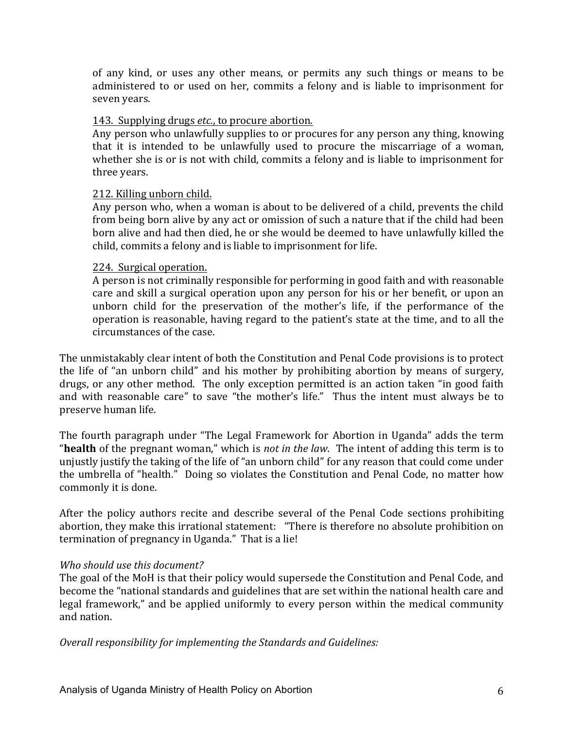of any kind, or uses any other means, or permits any such things or means to be administered to or used on her, commits a felony and is liable to imprisonment for seven years.

#### 143. Supplying drugs *etc.*, to procure abortion.

Any person who unlawfully supplies to or procures for any person any thing, knowing that it is intended to be unlawfully used to procure the miscarriage of a woman, whether she is or is not with child, commits a felony and is liable to imprisonment for three years.

#### 212. Killing unborn child.

Any person who, when a woman is about to be delivered of a child, prevents the child from being born alive by any act or omission of such a nature that if the child had been born alive and had then died, he or she would be deemed to have unlawfully killed the child, commits a felony and is liable to imprisonment for life.

#### 224. Surgical operation.

A person is not criminally responsible for performing in good faith and with reasonable care and skill a surgical operation upon any person for his or her benefit, or upon an unborn child for the preservation of the mother's life, if the performance of the operation is reasonable, having regard to the patient's state at the time, and to all the circumstances of the case.

The unmistakably clear intent of both the Constitution and Penal Code provisions is to protect the life of "an unborn child" and his mother by prohibiting abortion by means of surgery, drugs, or any other method. The only exception permitted is an action taken "in good faith and with reasonable care" to save "the mother's life." Thus the intent must always be to preserve human life.

The fourth paragraph under "The Legal Framework for Abortion in Uganda" adds the term "**health** of the pregnant woman," which is *not in the law*. The intent of adding this term is to unjustly justify the taking of the life of "an unborn child" for any reason that could come under the umbrella of "health." Doing so violates the Constitution and Penal Code, no matter how commonly it is done.

After the policy authors recite and describe several of the Penal Code sections prohibiting abortion, they make this irrational statement: "There is therefore no absolute prohibition on termination of pregnancy in Uganda." That is a lie!

#### Who should use this document?

The goal of the MoH is that their policy would supersede the Constitution and Penal Code, and become the "national standards and guidelines that are set within the national health care and legal framework," and be applied uniformly to every person within the medical community and nation.

**Overall responsibility for implementing the Standards and Guidelines:**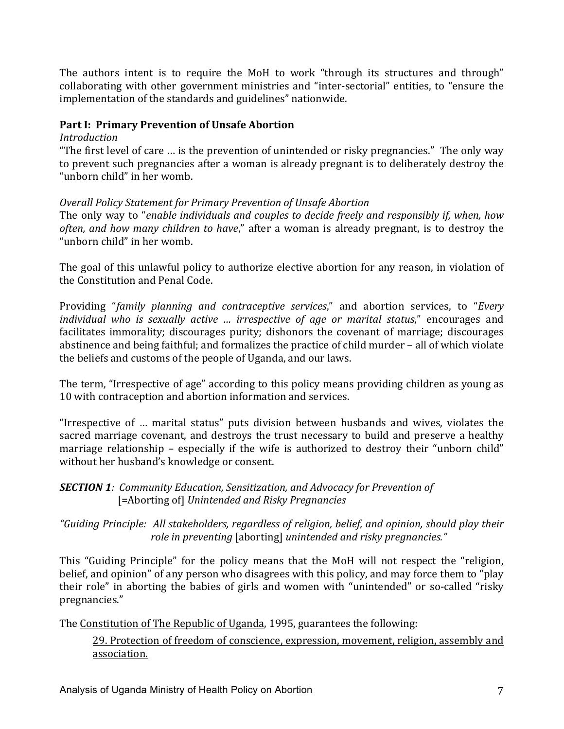The authors intent is to require the MoH to work "through its structures and through" collaborating with other government ministries and "inter-sectorial" entities, to "ensure the implementation of the standards and guidelines" nationwide.

## Part I: Primary Prevention of Unsafe Abortion

#### *Introduction*

"The first level of care ... is the prevention of unintended or risky pregnancies." The only way to prevent such pregnancies after a woman is already pregnant is to deliberately destroy the "unborn child" in her womb.

## **Overall Policy Statement for Primary Prevention of Unsafe Abortion**

The only way to "*enable individuals and couples to decide freely and responsibly if, when, how often, and how many children to have*," after a woman is already pregnant, is to destroy the "unborn child" in her womb.

The goal of this unlawful policy to authorize elective abortion for any reason, in violation of the Constitution and Penal Code.

Providing "family planning and contraceptive services," and abortion services, to "Every *individual* who is sexually active ... irrespective of age or marital status," encourages and facilitates immorality; discourages purity; dishonors the covenant of marriage; discourages abstinence and being faithful; and formalizes the practice of child murder – all of which violate the beliefs and customs of the people of Uganda, and our laws.

The term, "Irrespective of age" according to this policy means providing children as young as 10 with contraception and abortion information and services.

"Irrespective of ... marital status" puts division between husbands and wives, violates the sacred marriage covenant, and destroys the trust necessary to build and preserve a healthy marriage relationship – especially if the wife is authorized to destroy their "unborn child" without her husband's knowledge or consent.

## **SECTION 1***:* Community Education, Sensitization, and Advocacy for Prevention of [=Aborting of] Unintended and Risky Pregnancies

*"Guiding Principle: All stakeholders, regardless of religion, belief, and opinion, should play their role in preventing* [aborting] *unintended and risky pregnancies.*"

This "Guiding Principle" for the policy means that the MoH will not respect the "religion, belief, and opinion" of any person who disagrees with this policy, and may force them to "play their role" in aborting the babies of girls and women with "unintended" or so-called "risky pregnancies." 

The Constitution of The Republic of Uganda, 1995, guarantees the following:

29. Protection of freedom of conscience, expression, movement, religion, assembly and association.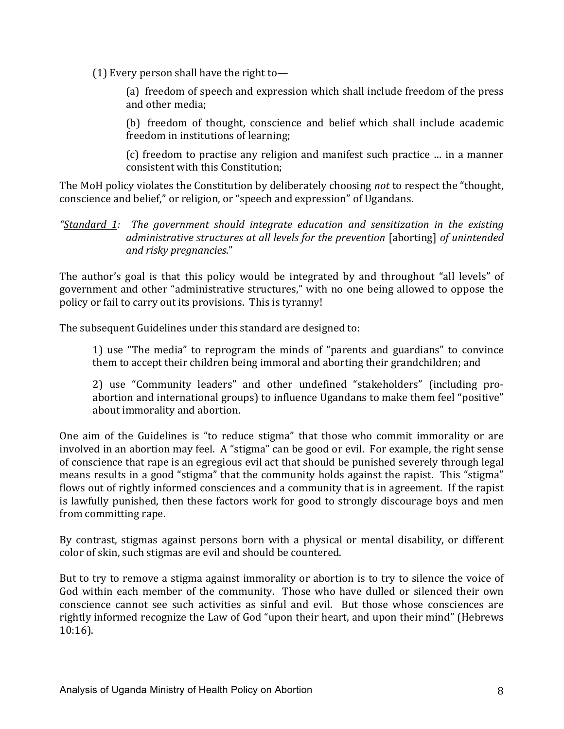(1) Every person shall have the right to—

(a) freedom of speech and expression which shall include freedom of the press and other media:

(b) freedom of thought, conscience and belief which shall include academic freedom in institutions of learning;

(c) freedom to practise any religion and manifest such practice ... in a manner consistent with this Constitution;

The MoH policy violates the Constitution by deliberately choosing *not* to respect the "thought, conscience and belief," or religion, or "speech and expression" of Ugandans.

"Standard 1: The government should integrate education and sensitization in the existing *administrative structures at all levels for the prevention* [aborting] *of unintended and risky pregnancies*." 

The author's goal is that this policy would be integrated by and throughout "all levels" of government and other "administrative structures," with no one being allowed to oppose the policy or fail to carry out its provisions. This is tyranny!

The subsequent Guidelines under this standard are designed to:

1) use "The media" to reprogram the minds of "parents and guardians" to convince them to accept their children being immoral and aborting their grandchildren; and

2) use "Community leaders" and other undefined "stakeholders" (including proabortion and international groups) to influence Ugandans to make them feel "positive" about immorality and abortion.

One aim of the Guidelines is "to reduce stigma" that those who commit immorality or are involved in an abortion may feel. A "stigma" can be good or evil. For example, the right sense of conscience that rape is an egregious evil act that should be punished severely through legal means results in a good "stigma" that the community holds against the rapist. This "stigma" flows out of rightly informed consciences and a community that is in agreement. If the rapist is lawfully punished, then these factors work for good to strongly discourage boys and men from committing rape.

By contrast, stigmas against persons born with a physical or mental disability, or different color of skin, such stigmas are evil and should be countered.

But to try to remove a stigma against immorality or abortion is to try to silence the voice of God within each member of the community. Those who have dulled or silenced their own conscience cannot see such activities as sinful and evil. But those whose consciences are rightly informed recognize the Law of God "upon their heart, and upon their mind" (Hebrews 10:16).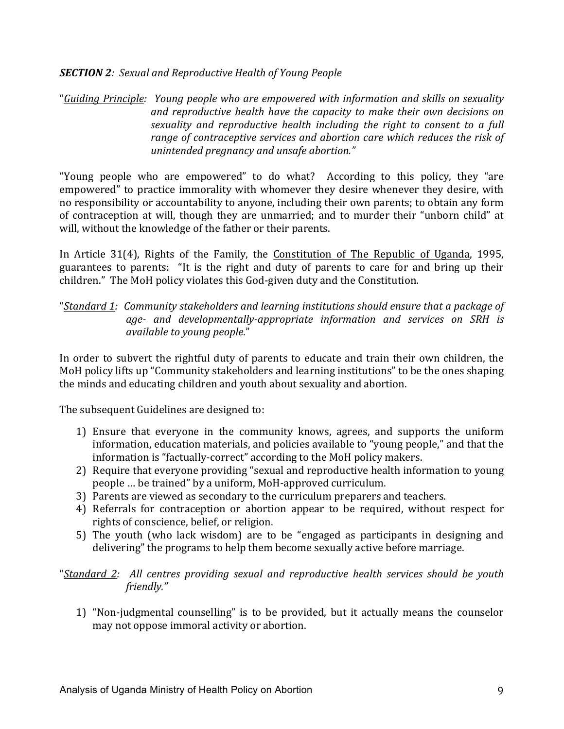#### **SECTION 2***:* Sexual and Reproductive Health of Young People

"*Guiding Principle: Young people who are empowered with information and skills on sexuality*  and reproductive health have the capacity to make their own decisions on *sexuality* and reproductive health including the right to consent to a full *range of contraceptive services and abortion care which reduces the risk of unintended pregnancy and unsafe abortion."* 

"Young people who are empowered" to do what? According to this policy, they "are empowered" to practice immorality with whomever they desire whenever they desire, with no responsibility or accountability to anyone, including their own parents; to obtain any form of contraception at will, though they are unmarried; and to murder their "unborn child" at will, without the knowledge of the father or their parents.

In Article 31(4), Rights of the Family, the Constitution of The Republic of Uganda, 1995, guarantees to parents: "It is the right and duty of parents to care for and bring up their children." The MoH policy violates this God-given duty and the Constitution.

## "*Standard 1: Community stakeholders and learning institutions should ensure that a package of age- and developmentally-appropriate information and services on SRH is available to young people."*

In order to subvert the rightful duty of parents to educate and train their own children, the MoH policy lifts up "Community stakeholders and learning institutions" to be the ones shaping the minds and educating children and youth about sexuality and abortion.

The subsequent Guidelines are designed to:

- 1) Ensure that everyone in the community knows, agrees, and supports the uniform information, education materials, and policies available to "young people," and that the information is "factually-correct" according to the MoH policy makers.
- 2) Require that everyone providing "sexual and reproductive health information to young people ... be trained" by a uniform, MoH-approved curriculum.
- 3) Parents are viewed as secondary to the curriculum preparers and teachers.
- 4) Referrals for contraception or abortion appear to be required, without respect for rights of conscience, belief, or religion.
- 5) The youth (who lack wisdom) are to be "engaged as participants in designing and delivering" the programs to help them become sexually active before marriage.

"*Standard 2: All centres providing sexual and reproductive health services should be youth*  friendly."

1) "Non-judgmental counselling" is to be provided, but it actually means the counselor may not oppose immoral activity or abortion.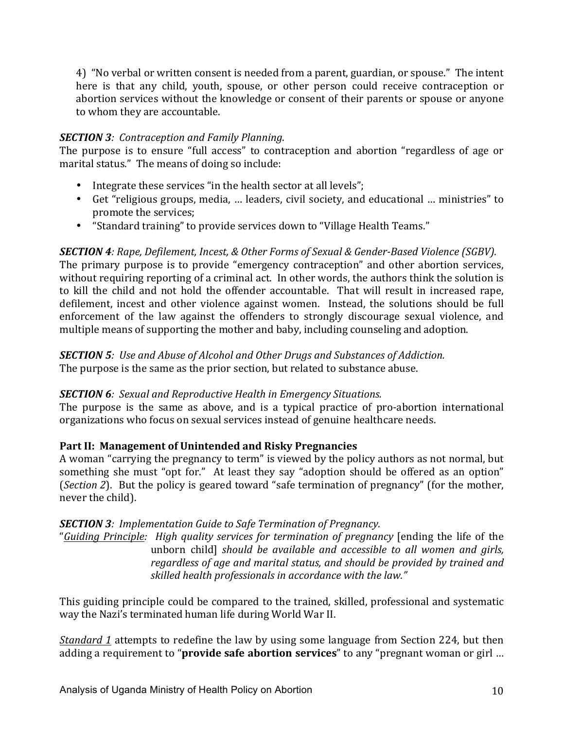4) "No verbal or written consent is needed from a parent, guardian, or spouse." The intent here is that any child, youth, spouse, or other person could receive contraception or abortion services without the knowledge or consent of their parents or spouse or anyone to whom they are accountable.

### *SECTION 3: Contraception and Family Planning.*

The purpose is to ensure "full access" to contraception and abortion "regardless of age or marital status." The means of doing so include:

- Integrate these services "in the health sector at all levels";
- Get "religious groups, media, ... leaders, civil society, and educational ... ministries" to promote the services;
- "Standard training" to provide services down to "Village Health Teams."

**SECTION** 4: Rape, Defilement, Incest, & Other Forms of Sexual & Gender-Based Violence (SGBV). The primary purpose is to provide "emergency contraception" and other abortion services, without requiring reporting of a criminal act. In other words, the authors think the solution is to kill the child and not hold the offender accountable. That will result in increased rape, defilement, incest and other violence against women. Instead, the solutions should be full enforcement of the law against the offenders to strongly discourage sexual violence, and multiple means of supporting the mother and baby, including counseling and adoption.

**SECTION** 5: Use and Abuse of Alcohol and Other Drugs and Substances of Addiction. The purpose is the same as the prior section, but related to substance abuse.

## **SECTION 6***:* Sexual and Reproductive Health in Emergency Situations.

The purpose is the same as above, and is a typical practice of pro-abortion international organizations who focus on sexual services instead of genuine healthcare needs.

## Part II: Management of Unintended and Risky Pregnancies

A woman "carrying the pregnancy to term" is viewed by the policy authors as not normal, but something she must "opt for." At least they say "adoption should be offered as an option" (*Section 2*). But the policy is geared toward "safe termination of pregnancy" (for the mother, never the child).

## **SECTION** 3: Implementation Guide to Safe Termination of Pregnancy.

"*Guiding Principle:* High quality services for termination of pregnancy [ending the life of the unborn child] *should be available and accessible to all women and girls, regardless of age and marital status, and should be provided by trained and* skilled health professionals in accordance with the law."

This guiding principle could be compared to the trained, skilled, professional and systematic way the Nazi's terminated human life during World War II.

*Standard 1* attempts to redefine the law by using some language from Section 224, but then adding a requirement to "**provide safe abortion services**" to any "pregnant woman or girl ...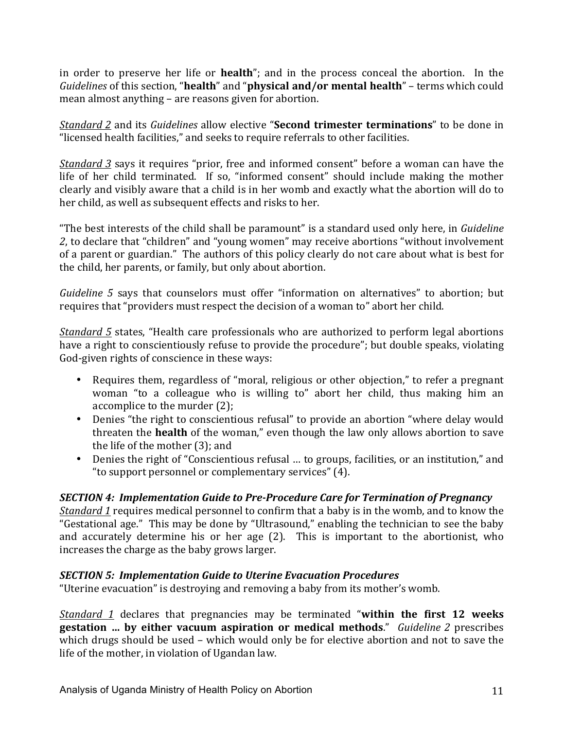in order to preserve her life or **health**"; and in the process conceal the abortion. In the *Guidelines* of this section, "health" and "physical and/or mental health" – terms which could mean almost anything – are reasons given for abortion.

*Standard 2* and its *Guidelines* allow elective "**Second trimester terminations**" to be done in "licensed health facilities," and seeks to require referrals to other facilities.

*Standard* 3 says it requires "prior, free and informed consent" before a woman can have the life of her child terminated. If so, "informed consent" should include making the mother clearly and visibly aware that a child is in her womb and exactly what the abortion will do to her child, as well as subsequent effects and risks to her.

"The best interests of the child shall be paramount" is a standard used only here, in *Guideline* 2, to declare that "children" and "young women" may receive abortions "without involvement of a parent or guardian." The authors of this policy clearly do not care about what is best for the child, her parents, or family, but only about abortion.

*Guideline* 5 says that counselors must offer "information on alternatives" to abortion; but requires that "providers must respect the decision of a woman to" abort her child.

*Standard* 5 states, "Health care professionals who are authorized to perform legal abortions have a right to conscientiously refuse to provide the procedure"; but double speaks, violating God-given rights of conscience in these ways:

- Requires them, regardless of "moral, religious or other objection," to refer a pregnant woman "to a colleague who is willing to" abort her child, thus making him an accomplice to the murder  $(2)$ ;
- Denies "the right to conscientious refusal" to provide an abortion "where delay would threaten the **health** of the woman," even though the law only allows abortion to save the life of the mother  $(3)$ ; and
- Denies the right of "Conscientious refusal ... to groups, facilities, or an institution," and " to support personnel or complementary services" (4).

## **SECTION** 4: Implementation Guide to Pre-Procedure Care for Termination of Pregnancy

*Standard 1* requires medical personnel to confirm that a baby is in the womb, and to know the "Gestational age." This may be done by "Ultrasound," enabling the technician to see the baby and accurately determine his or her age (2). This is important to the abortionist, who increases the charge as the baby grows larger.

## **SECTION 5: Implementation Guide to Uterine Evacuation Procedures**

"Uterine evacuation" is destroying and removing a baby from its mother's womb.

*Standard* 1 declares that pregnancies may be terminated "within the first 12 weeks **gestation** ... by either vacuum aspiration or medical methods." *Guideline* 2 prescribes which drugs should be used - which would only be for elective abortion and not to save the life of the mother, in violation of Ugandan law.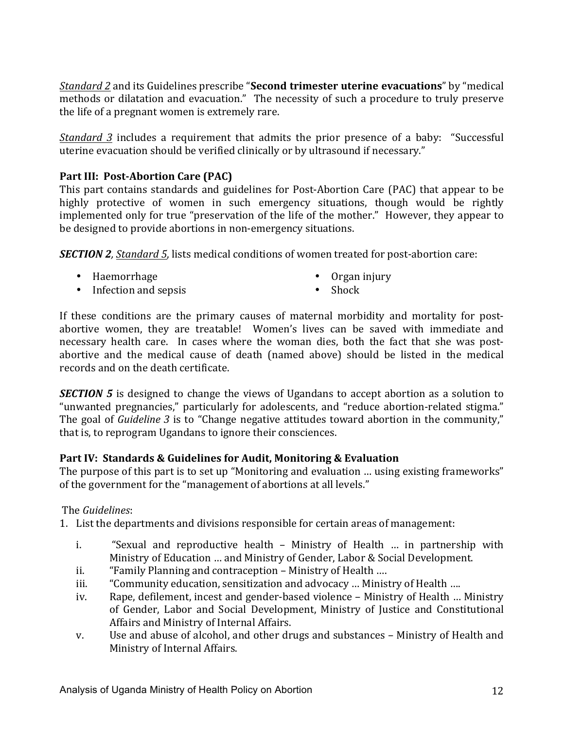*Standard 2* and its Guidelines prescribe "**Second trimester uterine evacuations**" by "medical methods or dilatation and evacuation." The necessity of such a procedure to truly preserve the life of a pregnant women is extremely rare.

*Standard* 3 includes a requirement that admits the prior presence of a baby: "Successful uterine evacuation should be verified clinically or by ultrasound if necessary."

## **Part III: Post-Abortion Care (PAC)**

This part contains standards and guidelines for Post-Abortion Care (PAC) that appear to be highly protective of women in such emergency situations, though would be rightly implemented only for true "preservation of the life of the mother." However, they appear to be designed to provide abortions in non-emergency situations.

**SECTION 2**, Standard 5, lists medical conditions of women treated for post-abortion care:

• Haemorrhage 

• Organ injury

• Infection and sepsis

• Shock

If these conditions are the primary causes of maternal morbidity and mortality for postabortive women, they are treatable! Women's lives can be saved with immediate and necessary health care. In cases where the woman dies, both the fact that she was postabortive and the medical cause of death (named above) should be listed in the medical records and on the death certificate.

**SECTION** 5 is designed to change the views of Ugandans to accept abortion as a solution to "unwanted pregnancies," particularly for adolescents, and "reduce abortion-related stigma." The goal of *Guideline* 3 is to "Change negative attitudes toward abortion in the community," that is, to reprogram Ugandans to ignore their consciences.

## **Part IV: Standards & Guidelines for Audit, Monitoring & Evaluation**

The purpose of this part is to set up "Monitoring and evaluation ... using existing frameworks" of the government for the "management of abortions at all levels."

## The *Guidelines*:

1. List the departments and divisions responsible for certain areas of management:

- i. "Sexual and reproductive health Ministry of Health ... in partnership with Ministry of Education ... and Ministry of Gender, Labor & Social Development.
- ii. "Family Planning and contraception Ministry of Health ....
- iii. "Community education, sensitization and advocacy ... Ministry of Health ....
- iv. Rape, defilement, incest and gender-based violence Ministry of Health ... Ministry of Gender, Labor and Social Development, Ministry of Justice and Constitutional Affairs and Ministry of Internal Affairs.
- v. Use and abuse of alcohol, and other drugs and substances Ministry of Health and Ministry of Internal Affairs.